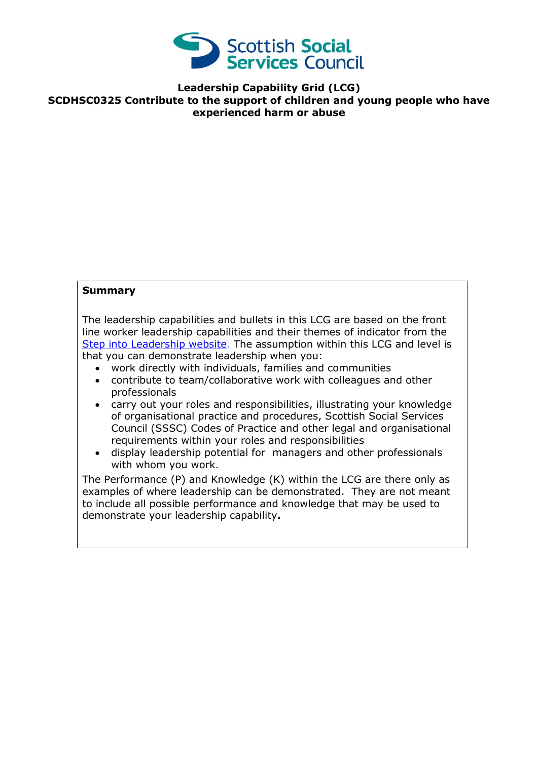

## **Leadership Capability Grid (LCG) SCDHSC0325 Contribute to the support of children and young people who have experienced harm or abuse**

## **Summary**

The leadership capabilities and bullets in this LCG are based on the front line worker leadership capabilities and their themes of indicator from the [Step into Leadership website.](http://www.stepintoleadership.info/) The assumption within this LCG and level is that you can demonstrate leadership when you:

- work directly with individuals, families and communities
- contribute to team/collaborative work with colleagues and other professionals
- carry out your roles and responsibilities, illustrating your knowledge of organisational practice and procedures, Scottish Social Services Council (SSSC) Codes of Practice and other legal and organisational requirements within your roles and responsibilities
- display leadership potential for managers and other professionals with whom you work.

The Performance (P) and Knowledge (K) within the LCG are there only as examples of where leadership can be demonstrated. They are not meant to include all possible performance and knowledge that may be used to demonstrate your leadership capability**.**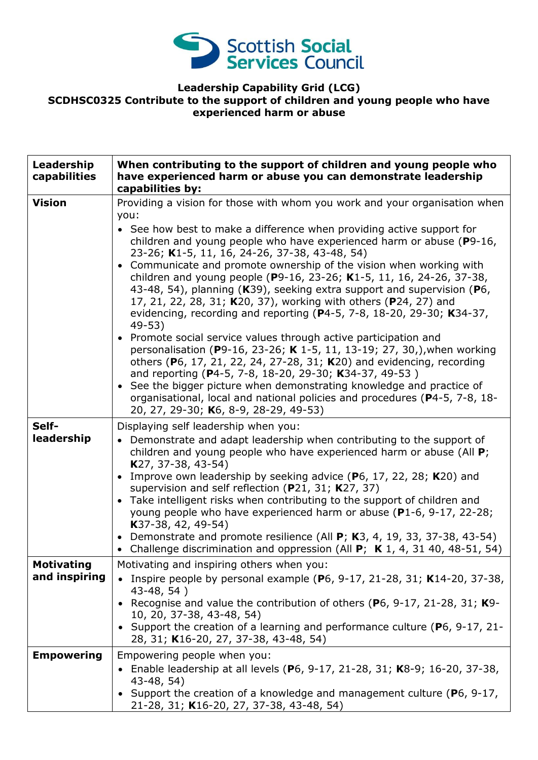

## **Leadership Capability Grid (LCG) SCDHSC0325 Contribute to the support of children and young people who have experienced harm or abuse**

| Leadership<br>capabilities         | When contributing to the support of children and young people who<br>have experienced harm or abuse you can demonstrate leadership<br>capabilities by:                                                                                                                                                                                                                                                                                                                                                                                                                                                                                                                                                                                                                                                                                                                                                                                                                                                                                                                                                                                                     |
|------------------------------------|------------------------------------------------------------------------------------------------------------------------------------------------------------------------------------------------------------------------------------------------------------------------------------------------------------------------------------------------------------------------------------------------------------------------------------------------------------------------------------------------------------------------------------------------------------------------------------------------------------------------------------------------------------------------------------------------------------------------------------------------------------------------------------------------------------------------------------------------------------------------------------------------------------------------------------------------------------------------------------------------------------------------------------------------------------------------------------------------------------------------------------------------------------|
| <b>Vision</b>                      | Providing a vision for those with whom you work and your organisation when<br>you:<br>• See how best to make a difference when providing active support for<br>children and young people who have experienced harm or abuse (P9-16,<br>23-26; K1-5, 11, 16, 24-26, 37-38, 43-48, 54)<br>• Communicate and promote ownership of the vision when working with<br>children and young people (P9-16, 23-26; K1-5, 11, 16, 24-26, 37-38,<br>43-48, 54), planning (K39), seeking extra support and supervision (P6,<br>17, 21, 22, 28, 31; K20, 37), working with others (P24, 27) and<br>evidencing, recording and reporting ( $P$ 4-5, 7-8, 18-20, 29-30; K34-37,<br>$49-53$<br>• Promote social service values through active participation and<br>personalisation (P9-16, 23-26; K 1-5, 11, 13-19; 27, 30,), when working<br>others (P6, 17, 21, 22, 24, 27-28, 31; K20) and evidencing, recording<br>and reporting (P4-5, 7-8, 18-20, 29-30; K34-37, 49-53)<br>• See the bigger picture when demonstrating knowledge and practice of<br>organisational, local and national policies and procedures (P4-5, 7-8, 18-<br>20, 27, 29-30; K6, 8-9, 28-29, 49-53) |
| Self-<br>leadership                | Displaying self leadership when you:<br>• Demonstrate and adapt leadership when contributing to the support of<br>children and young people who have experienced harm or abuse (All P;<br>K27, 37-38, 43-54)<br>• Improve own leadership by seeking advice ( $P_6$ , 17, 22, 28; K20) and<br>supervision and self reflection (P21, 31; K27, 37)<br>• Take intelligent risks when contributing to the support of children and<br>young people who have experienced harm or abuse (P1-6, 9-17, 22-28;<br>$K37-38, 42, 49-54)$<br>• Demonstrate and promote resilience (All $P$ ; K3, 4, 19, 33, 37-38, 43-54)<br>• Challenge discrimination and oppression (All P; K 1, 4, 31 40, 48-51, 54)                                                                                                                                                                                                                                                                                                                                                                                                                                                                 |
| <b>Motivating</b><br>and inspiring | Motivating and inspiring others when you:<br>Inspire people by personal example ( $P_6$ , 9-17, 21-28, 31; K14-20, 37-38,<br>43-48, 54)<br>Recognise and value the contribution of others (P6, 9-17, 21-28, 31; K9-<br>10, 20, 37-38, 43-48, 54)<br>• Support the creation of a learning and performance culture (P6, 9-17, 21-<br>28, 31; K16-20, 27, 37-38, 43-48, 54)                                                                                                                                                                                                                                                                                                                                                                                                                                                                                                                                                                                                                                                                                                                                                                                   |
| <b>Empowering</b>                  | Empowering people when you:<br>• Enable leadership at all levels (P6, 9-17, 21-28, 31; K8-9; 16-20, 37-38,<br>$43-48, 54)$<br>• Support the creation of a knowledge and management culture ( $P_6$ , 9-17,<br>21-28, 31; K16-20, 27, 37-38, 43-48, 54)                                                                                                                                                                                                                                                                                                                                                                                                                                                                                                                                                                                                                                                                                                                                                                                                                                                                                                     |